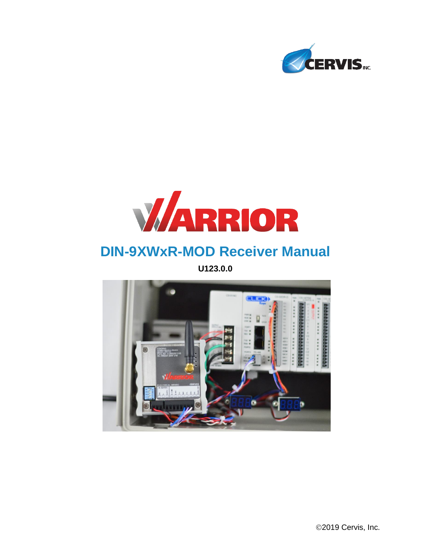



# **DIN-9XWxR-MOD Receiver Manual**

**U123.0.0**

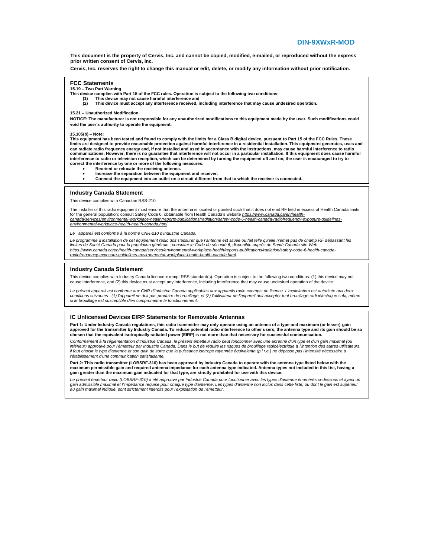**This document is the property of Cervis, Inc. and cannot be copied, modified, e-mailed, or reproduced without the express prior written consent of Cervis, Inc.**

**Cervis, Inc. reserves the right to change this manual or edit, delete, or modify any information without prior notification.**

#### **FCC Statements**

**15.19 – Two Part Warning**

- **This device complies with Part 15 of the FCC rules. Operation is subject to the following two conditions:**
	- **(1) This device may not cause harmful interference and** 
		- **(2) This device must accept any interference received, including interference that may cause undesired operation.**

#### **15.21 – Unauthorized Modification**

**NOTICE: The manufacturer is not responsible for any unauthorized modifications to this equipment made by the user. Such modifications could void the user's authority to operate the equipment.**

#### **15.105(b) – Note:**

**This equipment has been tested and found to comply with the limits for a Class B digital device, pursuant to Part 15 of the FCC Rules. These**  limits are designed to provide reasonable protection against harmful interference in a residential installation. This equipment generates, uses and<br>can radiate radio frequency energy and, if not installed and used in accor **communications. However, there is no guarantee that interference will not occur in a particular installation. If this equipment does cause harmful interference to radio or television reception, which can be determined by turning the equipment off and on, the user is encouraged to try to correct the interference by one or more of the following measures:**

- **Reorient or relocate the receiving antenna.**
- **Increase the separation between the equipment and receiver.**
- **Connect the equipment into an outlet on a circuit different from that to which the receiver is connected.**

#### **Industry Canada Statement**

This device complies with Canadian RSS-210.

The installer of this radio equipment must ensure that the antenna is located or pointed such that it does not emit RF field in excess of Health Canada limits for the general population; consult Safety Code 6, obtainable from Health Canada's website *https://www.canada.ca/en/healthcanada/services/environmental-workplace-health/reports-publications/radiation/safety-code-6-health-canada-radiofrequency-exposure-guidelinesenvironmental-workplace-health-health-canada.html.*

*Le appareil est conforme à la norme CNR-210 d'Industrie Canada.*

Le programme d'installation de cet équipement radio doit s'assurer que l'antenne est située ou fait telle qu'elle n'émet pas de champ RF dépassant les *limites de Santé Canada pour la population générale ; consulter le Code de sécurité 6, disponible auprès de Santé Canada site Web https://www.canada.ca/en/health-canada/services/environmental-workplace-health/reports-publications/radiation/safety-code-6-health-canadaradiofrequency-exposure-guidelines-environmental-workplace-health-health-canada.html.*

#### **Industry Canada Statement**

This device complies with Industry Canada licence-exempt RSS standard(s). Operation is subject to the following two conditions: (1) this device may not cause interference, and (2) this device must accept any interference, including interference that may cause undesired operation of the device.

*Le présent appareil est conforme aux CNR d'Industrie Canada applicables aux appareils radio exempts de licence. L'exploitation est autorisée aux deux*  conditions suivantes : (1) l'appareil ne doit pas produire de brouillage, et (2) l'utilisateur de l'appareil doit accepter tout brouillage radioélectrique subi, même<br>si le brouillage est susceptible d'en compromettre le fo

#### **IC Unlicensed Devices EIRP Statements for Removable Antennas**

**Part 1: Under Industry Canada regulations, this radio transmitter may only operate using an antenna of a type and maximum (or lesser) gain**  approved for the transmitter by Industry Canada. To reduce potential radio interference to other users, the antenna type and its gain should be so<br>chosen that the equivalent isotropically radiated power (EIRP) is not more

*Conformément à la réglementation d'Industrie Canada, le présent émetteur radio peut fonctionner avec une antenne d'un type et d'un gain maximal (ou*  inférieur) approuvé pour l'émetteur par Industrie Canada. Dans le but de réduire les risques de brouillage radioélectrique à l'intention des autres utilisateurs,<br>il faut choisir le type d'antenne et son gain de sorte que l *l'établissement d'une communication satisfaisante.*

Part 2: This radio transmitter (LOBSRF-310) has been approved by Industry Canada to operate with the antenna type listed below with the<br>maximum permissible gain and required antenna impedance for each antenna type indicate **gain greater than the maximum gain indicated for that type, are strictly prohibited for use with this device.**

Le présent émetteur radio (LOBSRF-310) a été approuvé par Industrie Canada pour fonctionner avec les types d'antenne énumérés ci-dessous et ayant un<br>gain admissible maximal et l'impédance requise pour chaque type d'antenne *au gain maximal indiqué, sont strictement interdits pour l'exploitation de l'émetteur.*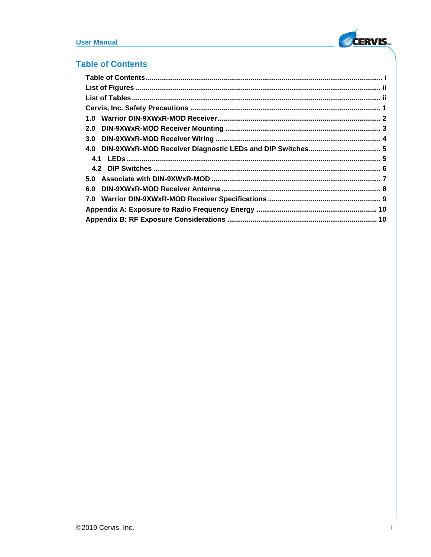## <span id="page-2-0"></span>**Table of Contents**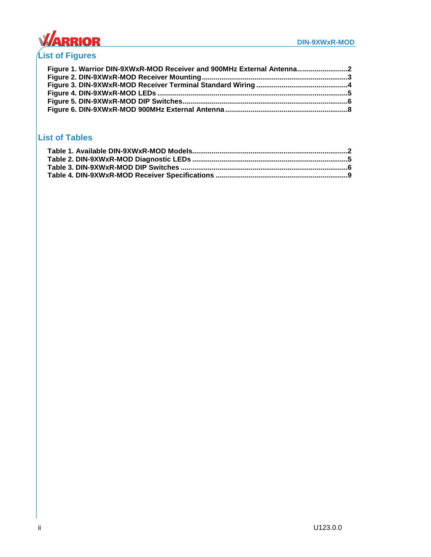

# <span id="page-3-0"></span>**List of Figures**

| Figure 1. Warrior DIN-9XWxR-MOD Receiver and 900MHz External Antenna |  |
|----------------------------------------------------------------------|--|
|                                                                      |  |
|                                                                      |  |
|                                                                      |  |
|                                                                      |  |
|                                                                      |  |

## <span id="page-3-1"></span>**List of Tables**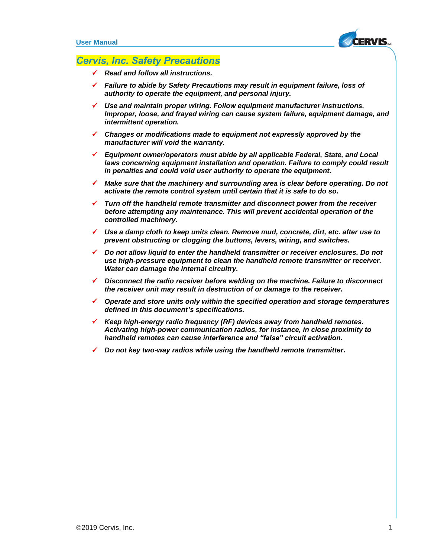

## <span id="page-4-0"></span>*Cervis, Inc. Safety Precautions*

- ✓ *Read and follow all instructions.*
- ✓ *Failure to abide by Safety Precautions may result in equipment failure, loss of authority to operate the equipment, and personal injury.*
- Use and maintain proper wiring. Follow equipment manufacturer instructions. *Improper, loose, and frayed wiring can cause system failure, equipment damage, and intermittent operation.*
- ✓ *Changes or modifications made to equipment not expressly approved by the manufacturer will void the warranty.*
- ✓ *Equipment owner/operators must abide by all applicable Federal, State, and Local*  laws concerning equipment installation and operation. Failure to comply could result *in penalties and could void user authority to operate the equipment.*
- Make sure that the machinery and surrounding area is clear before operating. Do not *activate the remote control system until certain that it is safe to do so.*
- ✓ *Turn off the handheld remote transmitter and disconnect power from the receiver before attempting any maintenance. This will prevent accidental operation of the controlled machinery.*
- ✓ *Use a damp cloth to keep units clean. Remove mud, concrete, dirt, etc. after use to prevent obstructing or clogging the buttons, levers, wiring, and switches.*
- ✓ *Do not allow liquid to enter the handheld transmitter or receiver enclosures. Do not use high-pressure equipment to clean the handheld remote transmitter or receiver. Water can damage the internal circuitry.*
- ✓ *Disconnect the radio receiver before welding on the machine. Failure to disconnect the receiver unit may result in destruction of or damage to the receiver.*
- ✓ *Operate and store units only within the specified operation and storage temperatures defined in this document's specifications.*
- ✓ *Keep high-energy radio frequency (RF) devices away from handheld remotes. Activating high-power communication radios, for instance, in close proximity to handheld remotes can cause interference and "false" circuit activation.*
- ✓ *Do not key two-way radios while using the handheld remote transmitter.*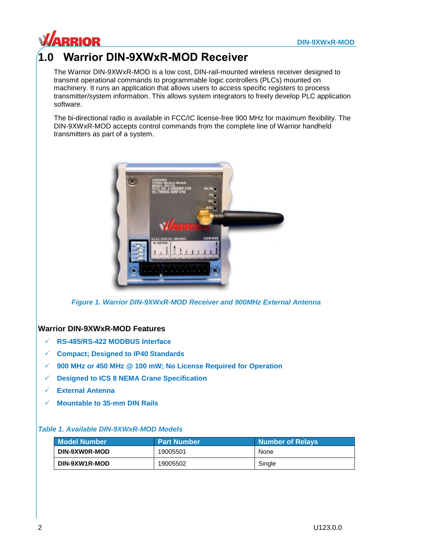

# <span id="page-5-0"></span>**1.0 Warrior DIN-9XWxR-MOD Receiver**

The Warrior DIN-9XWxR-MOD is a low cost, DIN-rail-mounted wireless receiver designed to transmit operational commands to programmable logic controllers (PLCs) mounted on machinery. It runs an application that allows users to access specific registers to process transmitter/system information. This allows system integrators to freely develop PLC application software.

The bi-directional radio is available in FCC/IC license-free 900 MHz for maximum flexibility. The DIN-9XWxR-MOD accepts control commands from the complete line of Warrior handheld transmitters as part of a system.



*Figure 1. Warrior DIN-9XWxR-MOD Receiver and 900MHz External Antenna*

## <span id="page-5-1"></span>**Warrior DIN-9XWxR-MOD Features**

- **RS-485/RS-422 MODBUS Interface**
- **Compact; Designed to IP40 Standards**
- **900 MHz or 450 MHz @ 100 mW; No License Required for Operation**
- **Designed to ICS 8 NEMA Crane Specification**
- **External Antenna**
- **Mountable to 35-mm DIN Rails**

### <span id="page-5-2"></span>*Table 1. Available DIN-9XWxR-MOD Models*

| <b>Model Number</b> | <b>Part Number</b> | Number of Relays |
|---------------------|--------------------|------------------|
| DIN-9XW0R-MOD       | 19005501           | None             |
| DIN-9XW1R-MOD       | 19005502           | Single           |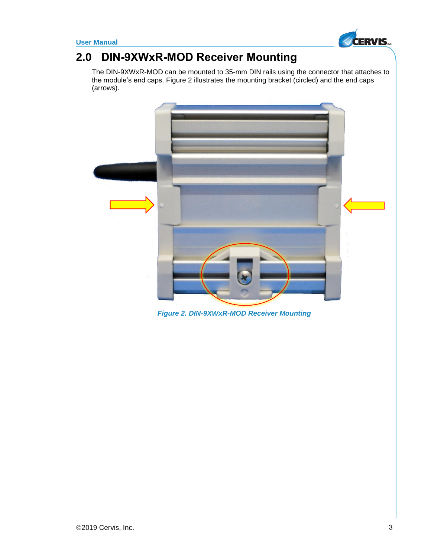

# <span id="page-6-0"></span>**2.0 DIN-9XWxR-MOD Receiver Mounting**

The DIN-9XWxR-MOD can be mounted to 35-mm DIN rails using the connector that attaches to the module's end caps. [Figure 2](#page-6-1) illustrates the mounting bracket (circled) and the end caps (arrows).

<span id="page-6-1"></span>

*Figure 2. DIN-9XWxR-MOD Receiver Mounting*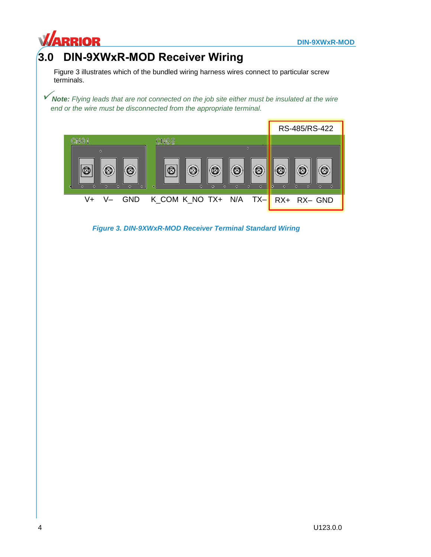

# <span id="page-7-0"></span>**3.0 DIN-9XWxR-MOD Receiver Wiring**

[Figure 3](#page-7-1) illustrates which of the bundled wiring harness wires connect to particular screw terminals.

*Note: Flying leads that are not connected on the job site either must be insulated at the wire end or the wire must be disconnected from the appropriate terminal.*



<span id="page-7-1"></span>*Figure 3. DIN-9XWxR-MOD Receiver Terminal Standard Wiring*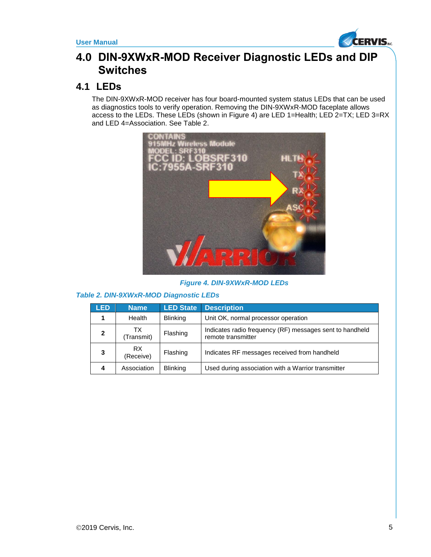

## <span id="page-8-0"></span>**4.0 DIN-9XWxR-MOD Receiver Diagnostic LEDs and DIP Switches**

## <span id="page-8-1"></span>**4.1 LEDs**

The DIN-9XWxR-MOD receiver has four board-mounted system status LEDs that can be used as diagnostics tools to verify operation. Removing the DIN-9XWxR-MOD faceplate allows access to the LEDs. These LEDs (shown in [Figure 4\)](#page-8-2) are LED 1=Health; LED 2=TX; LED 3=RX and LED 4=Association. See [Table 2.](#page-8-3)



### *Figure 4. DIN-9XWxR-MOD LEDs*

### <span id="page-8-3"></span><span id="page-8-2"></span>*Table 2. DIN-9XWxR-MOD Diagnostic LEDs*

| <b>LED</b>   | <b>Name</b>       | <b>LED State</b> | <b>Description</b>                                                             |
|--------------|-------------------|------------------|--------------------------------------------------------------------------------|
|              | Health            | <b>Blinking</b>  | Unit OK, normal processor operation                                            |
| $\mathbf{2}$ | TX.<br>(Transmit) | Flashing         | Indicates radio frequency (RF) messages sent to handheld<br>remote transmitter |
| 3            | RX.<br>(Receive)  | Flashing         | Indicates RF messages received from handheld                                   |
| 4            | Association       | <b>Blinking</b>  | Used during association with a Warrior transmitter                             |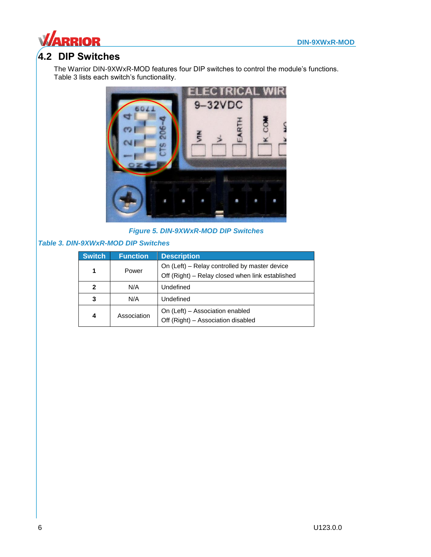

## <span id="page-9-0"></span>**4.2 DIP Switches**

The Warrior DIN-9XWxR-MOD features four DIP switches to control the module's functions. [Table 3](#page-9-2) lists each switch's functionality.



*Figure 5. DIN-9XWxR-MOD DIP Switches*

### <span id="page-9-2"></span><span id="page-9-1"></span>*Table 3. DIN-9XWxR-MOD DIP Switches*

| <b>Switch</b> | <b>Function</b> | <b>Description</b>                                                                                |
|---------------|-----------------|---------------------------------------------------------------------------------------------------|
| 1             | Power           | On (Left) – Relay controlled by master device<br>Off (Right) - Relay closed when link established |
| $\mathbf{2}$  | N/A             | Undefined                                                                                         |
| 3             | N/A             | Undefined                                                                                         |
| 4             | Association     | On (Left) - Association enabled<br>Off (Right) - Association disabled                             |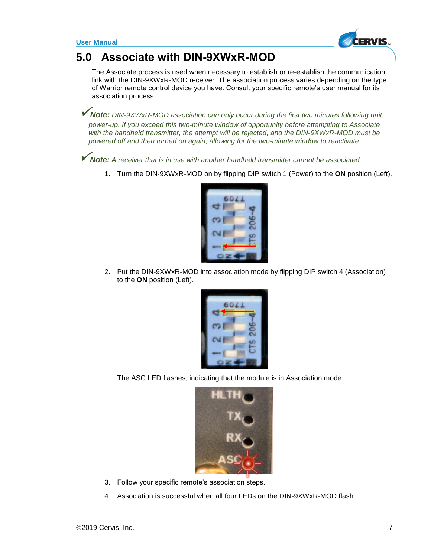

# <span id="page-10-0"></span>**5.0 Associate with DIN-9XWxR-MOD**

The Associate process is used when necessary to establish or re-establish the communication link with the DIN-9XWxR-MOD receiver. The association process varies depending on the type of Warrior remote control device you have. Consult your specific remote's user manual for its association process.

*Note: DIN-9XWxR-MOD association can only occur during the first two minutes following unit power-up. If you exceed this two-minute window of opportunity before attempting to Associate with the handheld transmitter, the attempt will be rejected, and the DIN-9XWxR-MOD must be powered off and then turned on again, allowing for the two-minute window to reactivate.*

*Note: <sup>A</sup> receiver that is in use with another handheld transmitter cannot be associated.*

1. Turn the DIN-9XWxR-MOD on by flipping DIP switch 1 (Power) to the **ON** position (Left).



2. Put the DIN-9XWxR-MOD into association mode by flipping DIP switch 4 (Association) to the **ON** position (Left).



The ASC LED flashes, indicating that the module is in Association mode.



- 3. Follow your specific remote's association steps.
- 4. Association is successful when all four LEDs on the DIN-9XWxR-MOD flash.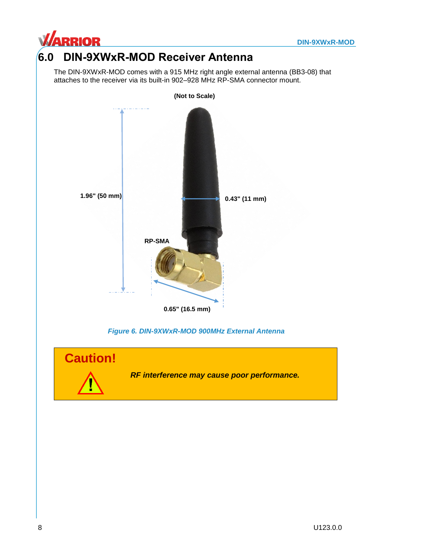

# <span id="page-11-0"></span>**6.0 DIN-9XWxR-MOD Receiver Antenna**

The DIN-9XWxR-MOD comes with a 915 MHz right angle external antenna (BB3-08) that attaches to the receiver via its built-in 902–928 MHz RP-SMA connector mount.



*Figure 6. DIN-9XWxR-MOD 900MHz External Antenna*

<span id="page-11-1"></span>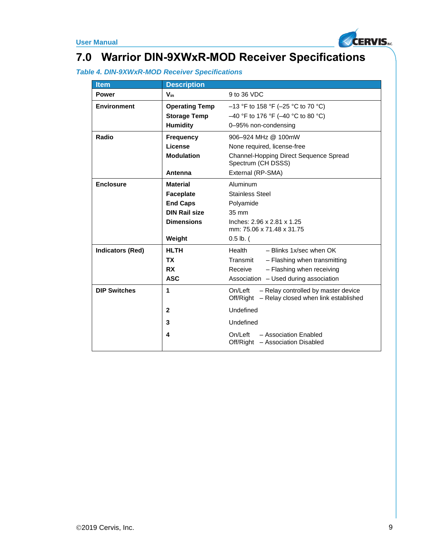

# <span id="page-12-0"></span>**7.0 Warrior DIN-9XWxR-MOD Receiver Specifications**

## <span id="page-12-1"></span>*Table 4. DIN-9XWxR-MOD Receiver Specifications*

| <b>Item</b>             | <b>Description</b>    |                                                                                                  |
|-------------------------|-----------------------|--------------------------------------------------------------------------------------------------|
| <b>Power</b>            | $V_{\rm in}$          | 9 to 36 VDC                                                                                      |
| <b>Environment</b>      | <b>Operating Temp</b> | $-13$ °F to 158 °F (-25 °C to 70 °C)                                                             |
|                         | <b>Storage Temp</b>   | $-40$ °F to 176 °F ( $-40$ °C to 80 °C)                                                          |
|                         | <b>Humidity</b>       | 0-95% non-condensing                                                                             |
| Radio                   | <b>Frequency</b>      | 906-924 MHz @ 100mW                                                                              |
|                         | License               | None required, license-free                                                                      |
|                         | <b>Modulation</b>     | Channel-Hopping Direct Sequence Spread<br>Spectrum (CH DSSS)                                     |
|                         | Antenna               | External (RP-SMA)                                                                                |
| <b>Enclosure</b>        | <b>Material</b>       | Aluminum                                                                                         |
|                         | <b>Faceplate</b>      | <b>Stainless Steel</b>                                                                           |
|                         | <b>End Caps</b>       | Polyamide                                                                                        |
|                         | <b>DIN Rail size</b>  | 35 mm                                                                                            |
|                         | <b>Dimensions</b>     | Inches: 2.96 x 2.81 x 1.25                                                                       |
|                         |                       | mm: 75.06 x 71.48 x 31.75                                                                        |
|                         | Weight                | $0.5$ lb. (                                                                                      |
| <b>Indicators (Red)</b> | <b>HLTH</b>           | Health<br>$-$ Blinks 1x/sec when OK                                                              |
|                         | ТX                    | Transmit<br>- Flashing when transmitting                                                         |
|                         | <b>RX</b>             | Receive<br>- Flashing when receiving                                                             |
|                         | <b>ASC</b>            | Association - Used during association                                                            |
| <b>DIP Switches</b>     | 1                     | On/Left<br>- Relay controlled by master device<br>Off/Right - Relay closed when link established |
|                         | $\mathbf{2}$          | Undefined                                                                                        |
|                         | 3                     | Undefined                                                                                        |
|                         | 4                     | On/Left<br>- Association Enabled<br>Off/Right - Association Disabled                             |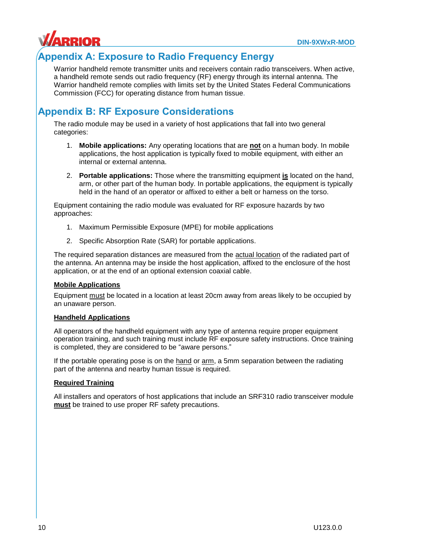

## <span id="page-13-0"></span>**Appendix A: Exposure to Radio Frequency Energy**

Warrior handheld remote transmitter units and receivers contain radio transceivers. When active, a handheld remote sends out radio frequency (RF) energy through its internal antenna. The Warrior handheld remote complies with limits set by the United States Federal Communications Commission (FCC) for operating distance from human tissue.

## <span id="page-13-1"></span>**Appendix B: RF Exposure Considerations**

The radio module may be used in a variety of host applications that fall into two general categories:

- 1. **Mobile applications:** Any operating locations that are **not** on a human body. In mobile applications, the host application is typically fixed to mobile equipment, with either an internal or external antenna.
- 2. **Portable applications:** Those where the transmitting equipment **is** located on the hand, arm, or other part of the human body. In portable applications, the equipment is typically held in the hand of an operator or affixed to either a belt or harness on the torso.

Equipment containing the radio module was evaluated for RF exposure hazards by two approaches:

- 1. Maximum Permissible Exposure (MPE) for mobile applications
- 2. Specific Absorption Rate (SAR) for portable applications.

The required separation distances are measured from the **actual location** of the radiated part of the antenna. An antenna may be inside the host application, affixed to the enclosure of the host application, or at the end of an optional extension coaxial cable.

### **Mobile Applications**

Equipment must be located in a location at least 20cm away from areas likely to be occupied by an unaware person.

### **Handheld Applications**

All operators of the handheld equipment with any type of antenna require proper equipment operation training, and such training must include RF exposure safety instructions. Once training is completed, they are considered to be "aware persons."

If the portable operating pose is on the hand or arm, a 5mm separation between the radiating part of the antenna and nearby human tissue is required.

### **Required Training**

All installers and operators of host applications that include an SRF310 radio transceiver module **must** be trained to use proper RF safety precautions.